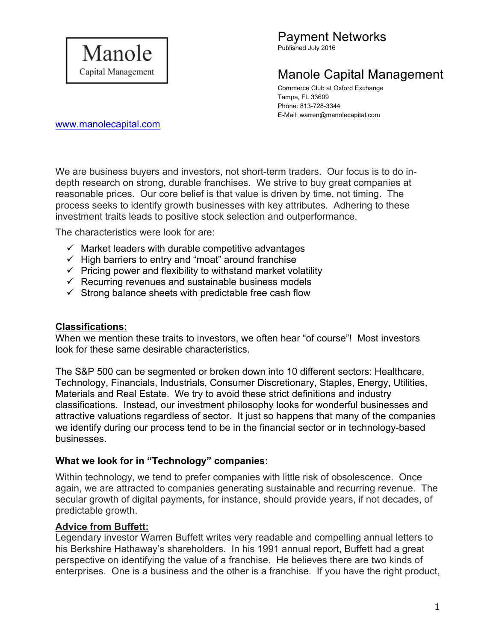

Published July 2016

# Manole Capital Management

Commerce Club at Oxford Exchange Tampa, FL 33609 Phone: 813-728-3344 E-Mail: warren@manolecapital.com

www.manolecapital.com

We are business buyers and investors, not short-term traders. Our focus is to do indepth research on strong, durable franchises. We strive to buy great companies at reasonable prices. Our core belief is that value is driven by time, not timing. The process seeks to identify growth businesses with key attributes. Adhering to these investment traits leads to positive stock selection and outperformance.

The characteristics were look for are:

- $\checkmark$  Market leaders with durable competitive advantages
- $\checkmark$  High barriers to entry and "moat" around franchise
- $\checkmark$  Pricing power and flexibility to withstand market volatility
- $\checkmark$  Recurring revenues and sustainable business models
- $\checkmark$  Strong balance sheets with predictable free cash flow

### **Classifications:**

When we mention these traits to investors, we often hear "of course"! Most investors look for these same desirable characteristics.

The S&P 500 can be segmented or broken down into 10 different sectors: Healthcare, Technology, Financials, Industrials, Consumer Discretionary, Staples, Energy, Utilities, Materials and Real Estate. We try to avoid these strict definitions and industry classifications. Instead, our investment philosophy looks for wonderful businesses and attractive valuations regardless of sector. It just so happens that many of the companies we identify during our process tend to be in the financial sector or in technology-based businesses.

### **What we look for in "Technology" companies:**

Within technology, we tend to prefer companies with little risk of obsolescence. Once again, we are attracted to companies generating sustainable and recurring revenue. The secular growth of digital payments, for instance, should provide years, if not decades, of predictable growth.

### **Advice from Buffett:**

Legendary investor Warren Buffett writes very readable and compelling annual letters to his Berkshire Hathaway's shareholders. In his 1991 annual report, Buffett had a great perspective on identifying the value of a franchise. He believes there are two kinds of enterprises. One is a business and the other is a franchise. If you have the right product,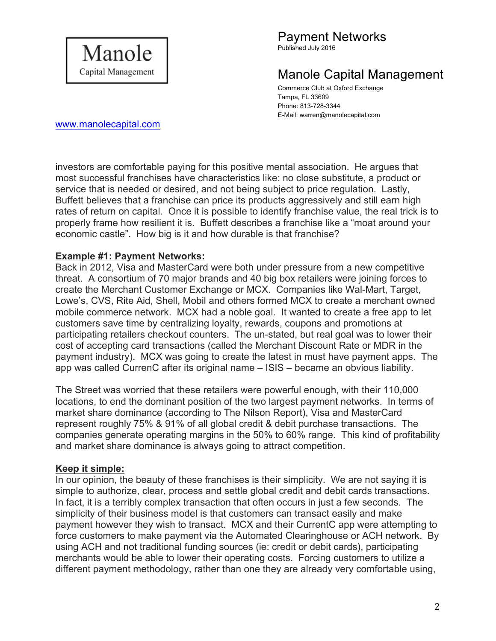

Published July 2016

# Manole Capital Management

Commerce Club at Oxford Exchange Tampa, FL 33609 Phone: 813-728-3344 E-Mail: warren@manolecapital.com

www.manolecapital.com

investors are comfortable paying for this positive mental association. He argues that most successful franchises have characteristics like: no close substitute, a product or service that is needed or desired, and not being subject to price regulation. Lastly, Buffett believes that a franchise can price its products aggressively and still earn high rates of return on capital. Once it is possible to identify franchise value, the real trick is to properly frame how resilient it is. Buffett describes a franchise like a "moat around your economic castle". How big is it and how durable is that franchise?

### **Example #1: Payment Networks:**

Back in 2012, Visa and MasterCard were both under pressure from a new competitive threat. A consortium of 70 major brands and 40 big box retailers were joining forces to create the Merchant Customer Exchange or MCX. Companies like Wal-Mart, Target, Lowe's, CVS, Rite Aid, Shell, Mobil and others formed MCX to create a merchant owned mobile commerce network. MCX had a noble goal. It wanted to create a free app to let customers save time by centralizing loyalty, rewards, coupons and promotions at participating retailers checkout counters. The un-stated, but real goal was to lower their cost of accepting card transactions (called the Merchant Discount Rate or MDR in the payment industry). MCX was going to create the latest in must have payment apps. The app was called CurrenC after its original name – ISIS – became an obvious liability.

The Street was worried that these retailers were powerful enough, with their 110,000 locations, to end the dominant position of the two largest payment networks. In terms of market share dominance (according to The Nilson Report), Visa and MasterCard represent roughly 75% & 91% of all global credit & debit purchase transactions. The companies generate operating margins in the 50% to 60% range. This kind of profitability and market share dominance is always going to attract competition.

### **Keep it simple:**

In our opinion, the beauty of these franchises is their simplicity. We are not saying it is simple to authorize, clear, process and settle global credit and debit cards transactions. In fact, it is a terribly complex transaction that often occurs in just a few seconds. The simplicity of their business model is that customers can transact easily and make payment however they wish to transact. MCX and their CurrentC app were attempting to force customers to make payment via the Automated Clearinghouse or ACH network. By using ACH and not traditional funding sources (ie: credit or debit cards), participating merchants would be able to lower their operating costs. Forcing customers to utilize a different payment methodology, rather than one they are already very comfortable using,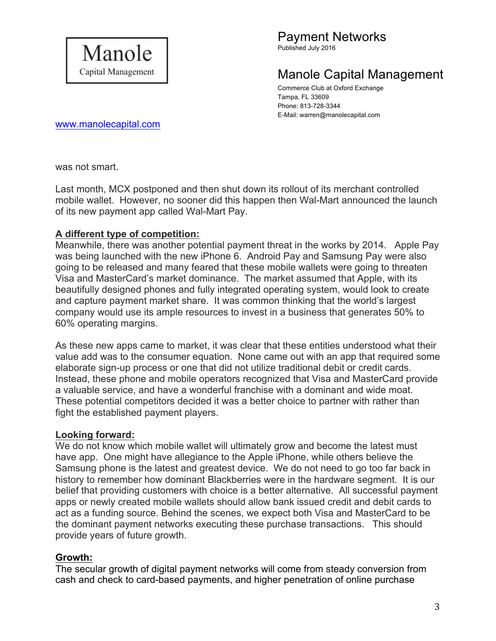

Published July 2016

# Manole Capital Management

Commerce Club at Oxford Exchange Tampa, FL 33609 Phone: 813-728-3344 E-Mail: warren@manolecapital.com

www.manolecapital.com

was not smart.

Last month, MCX postponed and then shut down its rollout of its merchant controlled mobile wallet. However, no sooner did this happen then Wal-Mart announced the launch of its new payment app called Wal-Mart Pay.

### **A different type of competition:**

Meanwhile, there was another potential payment threat in the works by 2014. Apple Pay was being launched with the new iPhone 6. Android Pay and Samsung Pay were also going to be released and many feared that these mobile wallets were going to threaten Visa and MasterCard's market dominance. The market assumed that Apple, with its beautifully designed phones and fully integrated operating system, would look to create and capture payment market share. It was common thinking that the world's largest company would use its ample resources to invest in a business that generates 50% to 60% operating margins.

As these new apps came to market, it was clear that these entities understood what their value add was to the consumer equation. None came out with an app that required some elaborate sign-up process or one that did not utilize traditional debit or credit cards. Instead, these phone and mobile operators recognized that Visa and MasterCard provide a valuable service, and have a wonderful franchise with a dominant and wide moat. These potential competitors decided it was a better choice to partner with rather than fight the established payment players.

### **Looking forward:**

We do not know which mobile wallet will ultimately grow and become the latest must have app. One might have allegiance to the Apple iPhone, while others believe the Samsung phone is the latest and greatest device. We do not need to go too far back in history to remember how dominant Blackberries were in the hardware segment. It is our belief that providing customers with choice is a better alternative. All successful payment apps or newly created mobile wallets should allow bank issued credit and debit cards to act as a funding source. Behind the scenes, we expect both Visa and MasterCard to be the dominant payment networks executing these purchase transactions. This should provide years of future growth.

### **Growth:**

The secular growth of digital payment networks will come from steady conversion from cash and check to card-based payments, and higher penetration of online purchase